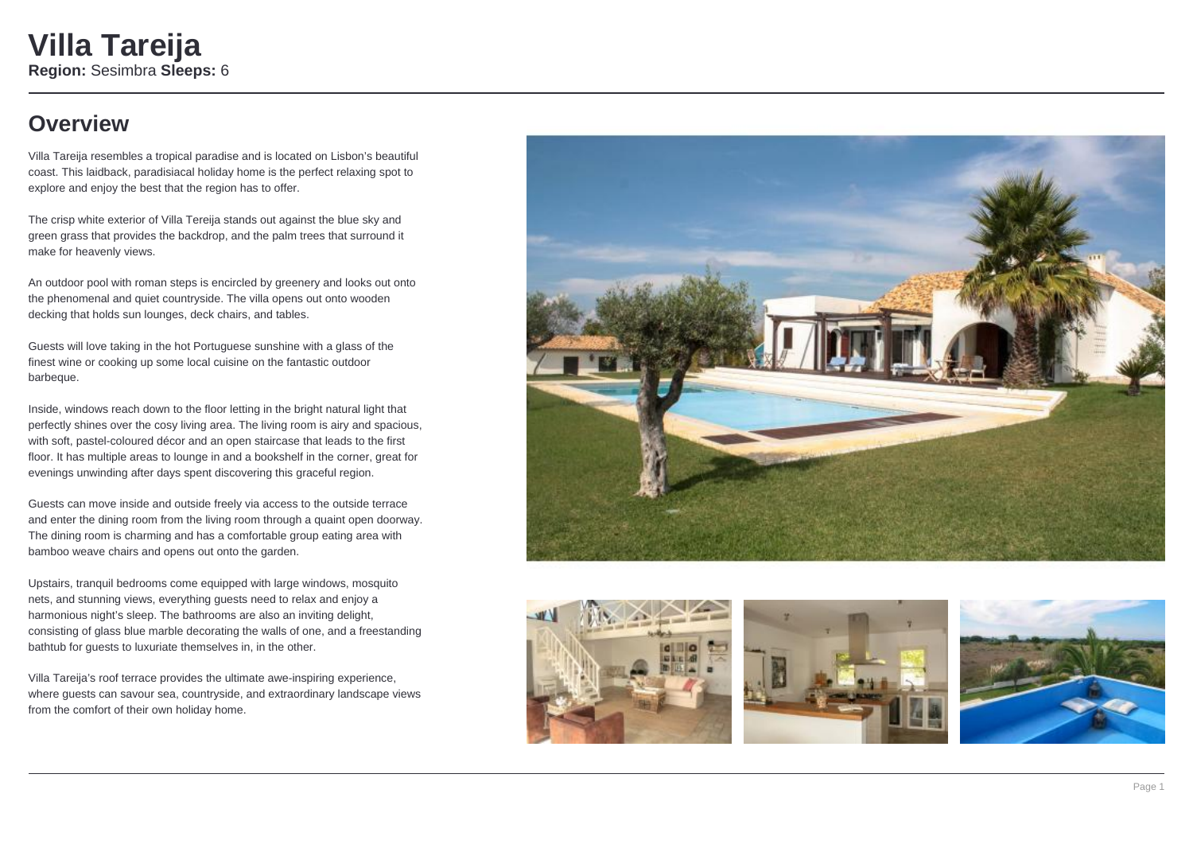# **Overview**

Villa Tareija resembles a tropical paradise and is located on Lisbon's beautiful coast. This laidback, paradisiacal holiday home is the perfect relaxing spot to explore and enjoy the best that the region has to offer.

The crisp white exterior of Villa Tereija stands out against the blue sky and green grass that provides the backdrop, and the palm trees that surround it make for heavenly views.

An outdoor pool with roman steps is encircled by greenery and looks out onto the phenomenal and quiet countryside. The villa opens out onto wooden decking that holds sun lounges, deck chairs, and tables.

Guests will love taking in the hot Portuguese sunshine with a glass of the finest wine or cooking up some local cuisine on the fantastic outdoor barbeque.

Inside, windows reach down to the floor letting in the bright natural light that perfectly shines over the cosy living area. The living room is airy and spacious, with soft, pastel-coloured décor and an open staircase that leads to the first floor. It has multiple areas to lounge in and a bookshelf in the corner, great for evenings unwinding after days spent discovering this graceful region.

Guests can move inside and outside freely via access to the outside terrace and enter the dining room from the living room through a quaint open doorway. The dining room is charming and has a comfortable group eating area with bamboo weave chairs and opens out onto the garden.

Upstairs, tranquil bedrooms come equipped with large windows, mosquito nets, and stunning views, everything guests need to relax and enjoy a harmonious night's sleep. The bathrooms are also an inviting delight, consisting of glass blue marble decorating the walls of one, and a freestanding bathtub for guests to luxuriate themselves in, in the other.

Villa Tareija's roof terrace provides the ultimate awe-inspiring experience, where guests can savour sea, countryside, and extraordinary landscape views from the comfort of their own holiday home.







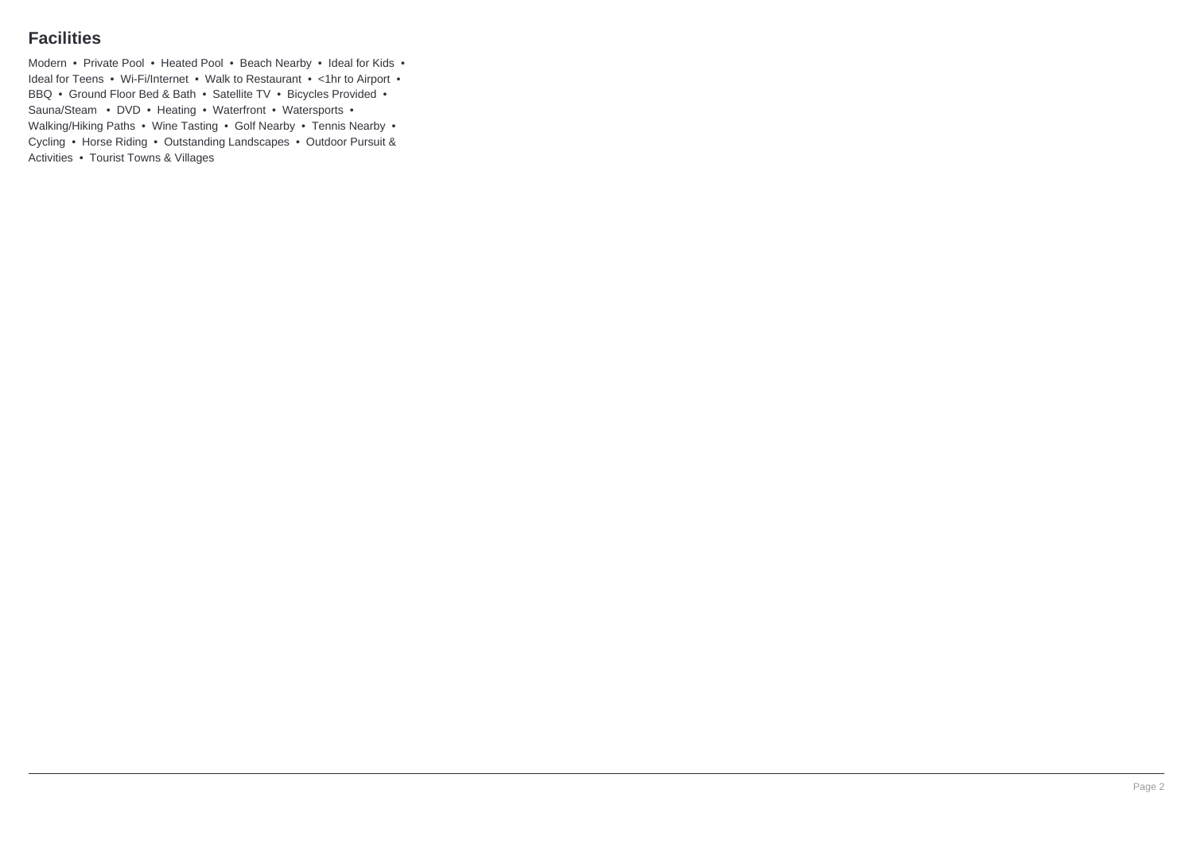### **Facilities**

Modern • Private Pool • Heated Pool • Beach Nearby • Ideal for Kids • Ideal for Teens • Wi-Fi/Internet • Walk to Restaurant • <1hr to Airport • BBQ • Ground Floor Bed & Bath • Satellite TV • Bicycles Provided • Sauna/Steam • DVD • Heating • Waterfront • Watersports • Walking/Hiking Paths • Wine Tasting • Golf Nearby • Tennis Nearby • Cycling • Horse Riding • Outstanding Landscapes • Outdoor Pursuit & Activities • Tourist Towns & Villages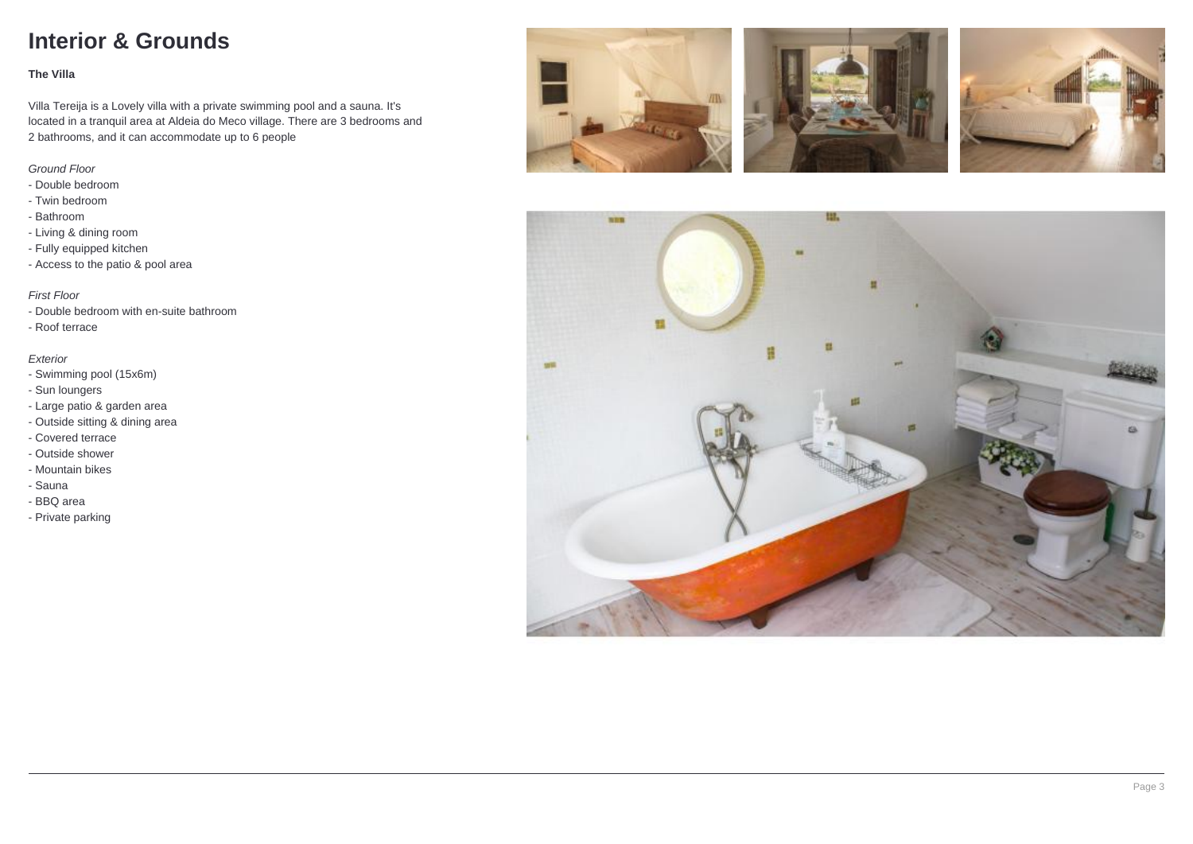# **Interior & Grounds**

#### **The Villa**

Villa Tereija is a Lovely villa with a private swimming pool and a sauna. It's located in a tranquil area at Aldeia do Meco village. There are 3 bedrooms and 2 bathrooms, and it can accommodate up to 6 people

### Ground Floor

- Double bedroom
- Twin bedroom
- Bathroom
- Living & dining room
- Fully equipped kitchen
- Access to the patio & pool area

### First Floor

- Double bedroom with en-suite bathroom
- Roof terrace

#### Exterior

- Swimming pool (15x6m)
- Sun loungers
- Large patio & garden area
- Outside sitting & dining area
- Covered terrace
- Outside shower
- Mountain bikes
- Sauna
- BBQ area
- Private parking







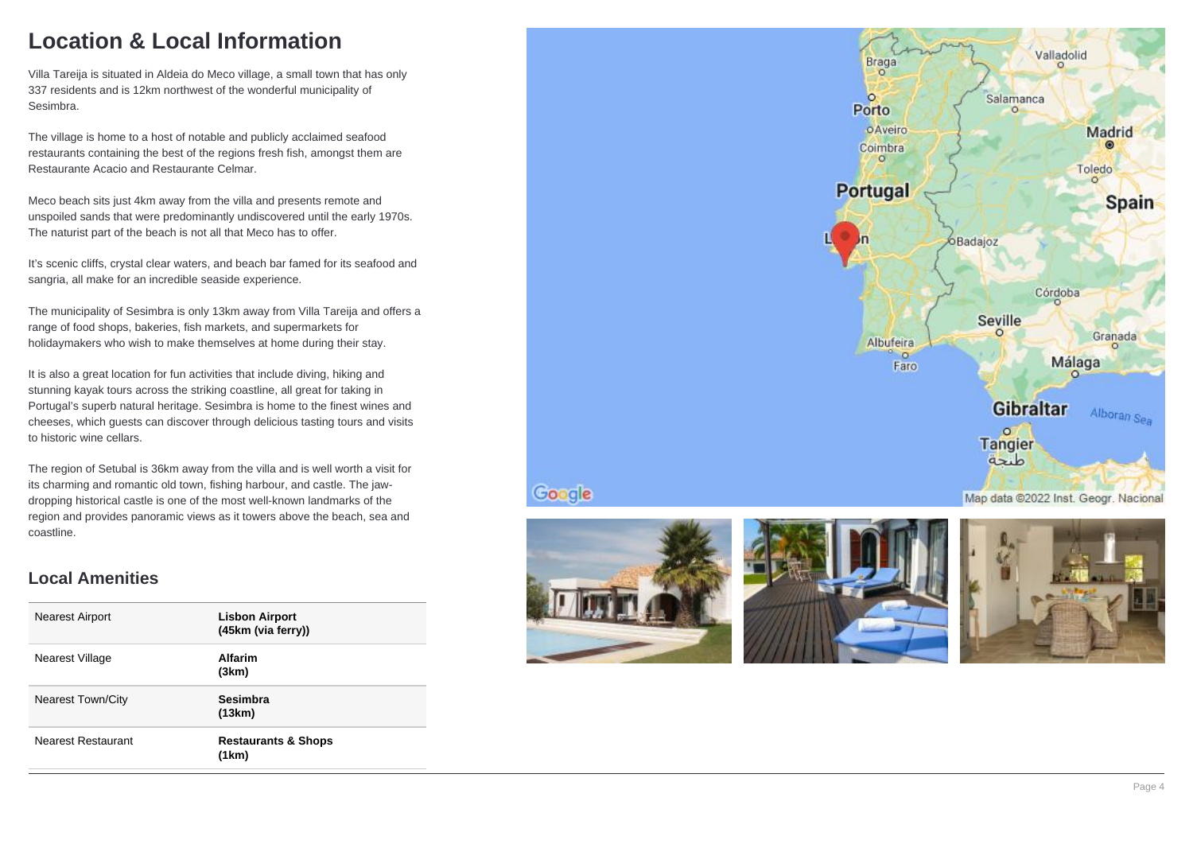# **Location & Local Information**

Villa Tareija is situated in Aldeia do Meco village, a small town that has only 337 residents and is 12km northwest of the wonderful municipality of Sesimbra.

The village is home to a host of notable and publicly acclaimed seafood restaurants containing the best of the regions fresh fish, amongst them are Restaurante Acacio and Restaurante Celmar.

Meco beach sits just 4km away from the villa and presents remote and unspoiled sands that were predominantly undiscovered until the early 1970s. The naturist part of the beach is not all that Meco has to offer.

It's scenic cliffs, crystal clear waters, and beach bar famed for its seafood and sangria, all make for an incredible seaside experience.

The municipality of Sesimbra is only 13km away from Villa Tareija and offers a range of food shops, bakeries, fish markets, and supermarkets for holidaymakers who wish to make themselves at home during their stay.

It is also a great location for fun activities that include diving, hiking and stunning kayak tours across the striking coastline, all great for taking in Portugal's superb natural heritage. Sesimbra is home to the finest wines and cheeses, which guests can discover through delicious tasting tours and visits to historic wine cellars.

The region of Setubal is 36km away from the villa and is well worth a visit for its charming and romantic old town, fishing harbour, and castle. The jawdropping historical castle is one of the most well-known landmarks of the region and provides panoramic views as it towers above the beach, sea and coastline.

### **Local Amenities**

| <b>Nearest Airport</b>   | <b>Lisbon Airport</b><br>(45km (via ferry)) |
|--------------------------|---------------------------------------------|
| Nearest Village          | Alfarim<br>(3km)                            |
| <b>Nearest Town/City</b> | <b>Sesimbra</b><br>(13km)                   |
| Nearest Restaurant       | <b>Restaurants &amp; Shops</b><br>(1km)     |





Google



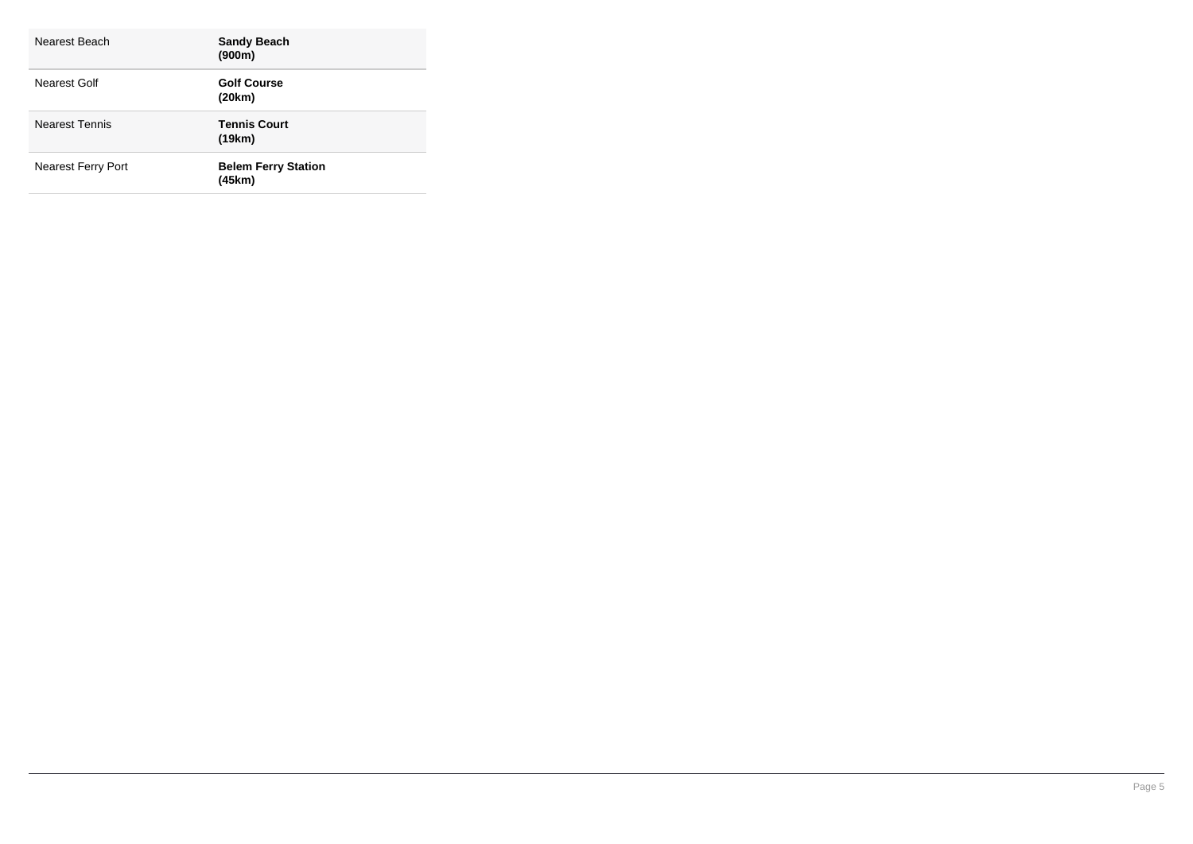| Nearest Beach             | <b>Sandy Beach</b><br>(900m)         |
|---------------------------|--------------------------------------|
| Nearest Golf              | <b>Golf Course</b><br>(20km)         |
| <b>Nearest Tennis</b>     | <b>Tennis Court</b><br>(19km)        |
| <b>Nearest Ferry Port</b> | <b>Belem Ferry Station</b><br>(45km) |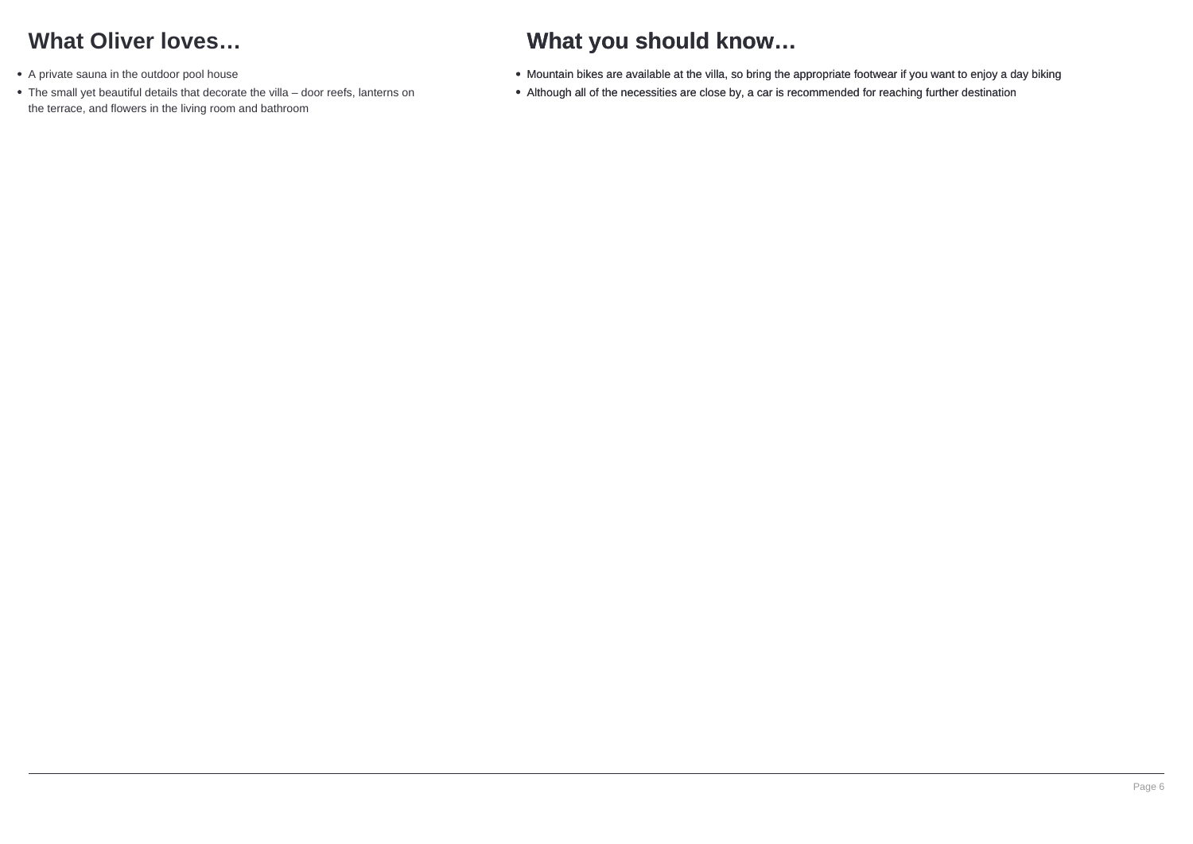# **What Oliver loves…**

- A private sauna in the outdoor pool house
- The small yet beautiful details that decorate the villa door reefs, lanterns on the terrace, and flowers in the living room and bathroom

# **What you should know…**

- Mountain bikes are available at the villa, so bring the appropriate footwear if you want to enjoy a day biking
- Although all of the necessities are close by, a car is recommended for reaching further destination